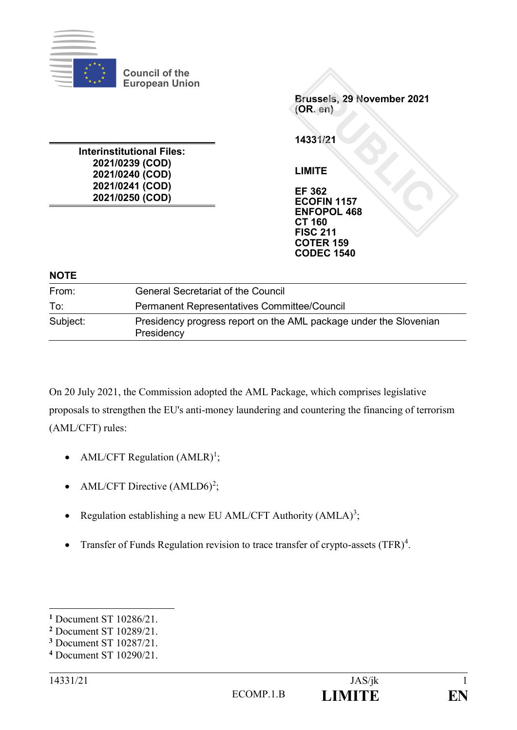

**Council of the European Union**

**Interinstitutional Files: 2021/0239 (COD) 2021/0240 (COD) 2021/0241 (COD) 2021/0250 (COD)**

**Brussels, 29 November 2021 (OR. en)**

**14331/21**

**LIMITE**

**EF 362 ECOFIN 1157 ENFOPOL 468 CT 160 FISC 211 COTER 159 CODEC 1540**

#### **NOTE**

| From:    | <b>General Secretariat of the Council</b>                                       |
|----------|---------------------------------------------------------------------------------|
| To:      | <b>Permanent Representatives Committee/Council</b>                              |
| Subject: | Presidency progress report on the AML package under the Slovenian<br>Presidency |

On 20 July 2021, the Commission adopted the AML Package, which comprises legislative proposals to strengthen the EU's anti-money laundering and countering the financing of terrorism (AML/CFT) rules:

- AML/CFT Regulation  $(AMLR)^1$ ;
- AML/CFT Directive  $(AMLD6)^2$ ;
- Regulation establishing a new EU AML/CFT Authority  $(AMLA)^3$ ;
- Transfer of Funds Regulation revision to trace transfer of crypto-assets  $(TFR)^4$ .

1

**<sup>1</sup>** Document ST 10286/21.

**<sup>2</sup>** Document ST 10289/21.

**<sup>3</sup>** Document ST 10287/21.

**<sup>4</sup>** Document ST 10290/21.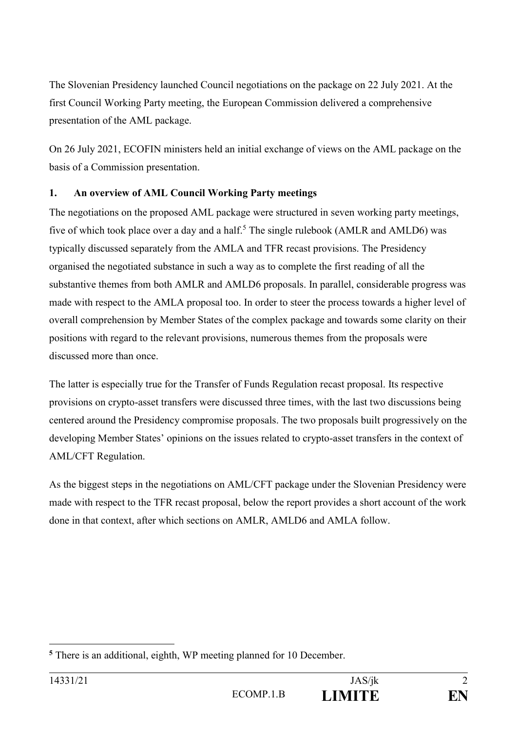The Slovenian Presidency launched Council negotiations on the package on 22 July 2021. At the first Council Working Party meeting, the European Commission delivered a comprehensive presentation of the AML package.

On 26 July 2021, ECOFIN ministers held an initial exchange of views on the AML package on the basis of a Commission presentation.

# **1. An overview of AML Council Working Party meetings**

The negotiations on the proposed AML package were structured in seven working party meetings, five of which took place over a day and a half.<sup>5</sup> The single rulebook (AMLR and AMLD6) was typically discussed separately from the AMLA and TFR recast provisions. The Presidency organised the negotiated substance in such a way as to complete the first reading of all the substantive themes from both AMLR and AMLD6 proposals. In parallel, considerable progress was made with respect to the AMLA proposal too. In order to steer the process towards a higher level of overall comprehension by Member States of the complex package and towards some clarity on their positions with regard to the relevant provisions, numerous themes from the proposals were discussed more than once.

The latter is especially true for the Transfer of Funds Regulation recast proposal. Its respective provisions on crypto-asset transfers were discussed three times, with the last two discussions being centered around the Presidency compromise proposals. The two proposals built progressively on the developing Member States' opinions on the issues related to crypto-asset transfers in the context of AML/CFT Regulation.

As the biggest steps in the negotiations on AML/CFT package under the Slovenian Presidency were made with respect to the TFR recast proposal, below the report provides a short account of the work done in that context, after which sections on AMLR, AMLD6 and AMLA follow.

<sup>&</sup>lt;u>.</u> **<sup>5</sup>** There is an additional, eighth, WP meeting planned for 10 December.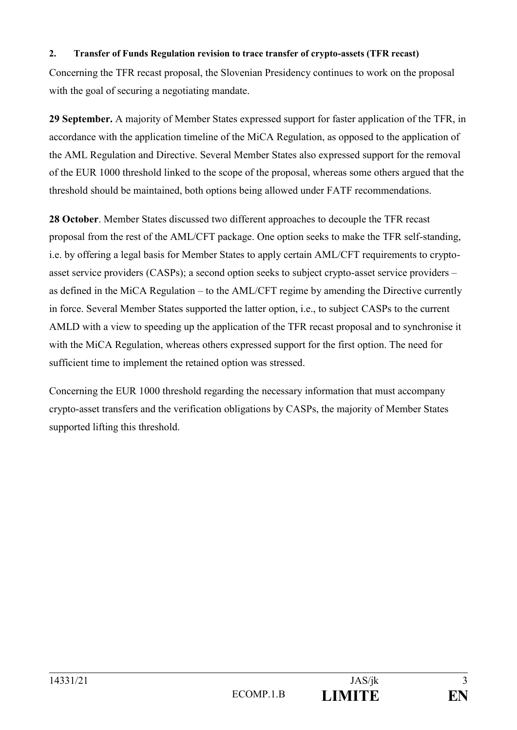#### **2. Transfer of Funds Regulation revision to trace transfer of crypto-assets (TFR recast)**

Concerning the TFR recast proposal, the Slovenian Presidency continues to work on the proposal with the goal of securing a negotiating mandate.

**29 September.** A majority of Member States expressed support for faster application of the TFR, in accordance with the application timeline of the MiCA Regulation, as opposed to the application of the AML Regulation and Directive. Several Member States also expressed support for the removal of the EUR 1000 threshold linked to the scope of the proposal, whereas some others argued that the threshold should be maintained, both options being allowed under FATF recommendations.

**28 October**. Member States discussed two different approaches to decouple the TFR recast proposal from the rest of the AML/CFT package. One option seeks to make the TFR self-standing, i.e. by offering a legal basis for Member States to apply certain AML/CFT requirements to cryptoasset service providers (CASPs); a second option seeks to subject crypto-asset service providers – as defined in the MiCA Regulation – to the AML/CFT regime by amending the Directive currently in force. Several Member States supported the latter option, i.e., to subject CASPs to the current AMLD with a view to speeding up the application of the TFR recast proposal and to synchronise it with the MiCA Regulation, whereas others expressed support for the first option. The need for sufficient time to implement the retained option was stressed.

Concerning the EUR 1000 threshold regarding the necessary information that must accompany crypto-asset transfers and the verification obligations by CASPs, the majority of Member States supported lifting this threshold.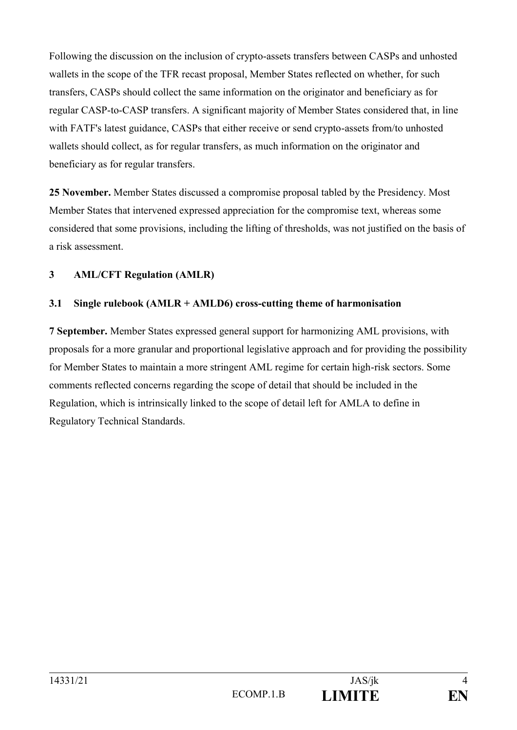Following the discussion on the inclusion of crypto-assets transfers between CASPs and unhosted wallets in the scope of the TFR recast proposal, Member States reflected on whether, for such transfers, CASPs should collect the same information on the originator and beneficiary as for regular CASP-to-CASP transfers. A significant majority of Member States considered that, in line with FATF's latest guidance, CASPs that either receive or send crypto-assets from/to unhosted wallets should collect, as for regular transfers, as much information on the originator and beneficiary as for regular transfers.

**25 November.** Member States discussed a compromise proposal tabled by the Presidency. Most Member States that intervened expressed appreciation for the compromise text, whereas some considered that some provisions, including the lifting of thresholds, was not justified on the basis of a risk assessment.

# **3 AML/CFT Regulation (AMLR)**

# **3.1 Single rulebook (AMLR + AMLD6) cross-cutting theme of harmonisation**

**7 September.** Member States expressed general support for harmonizing AML provisions, with proposals for a more granular and proportional legislative approach and for providing the possibility for Member States to maintain a more stringent AML regime for certain high-risk sectors. Some comments reflected concerns regarding the scope of detail that should be included in the Regulation, which is intrinsically linked to the scope of detail left for AMLA to define in Regulatory Technical Standards.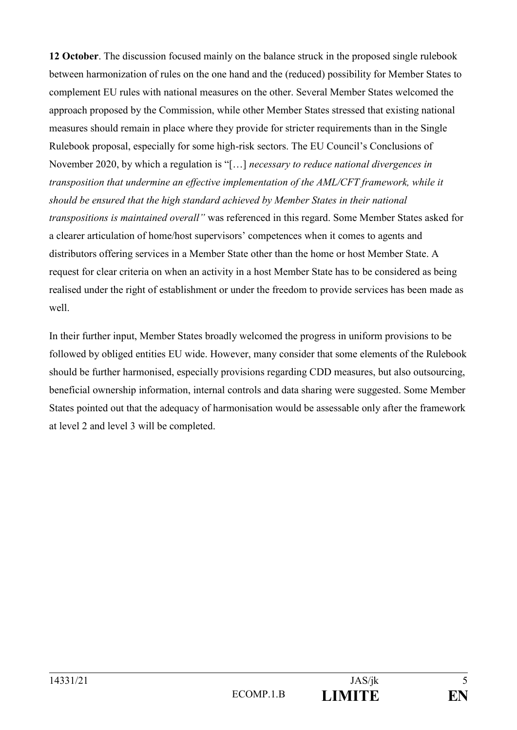**12 October**. The discussion focused mainly on the balance struck in the proposed single rulebook between harmonization of rules on the one hand and the (reduced) possibility for Member States to complement EU rules with national measures on the other. Several Member States welcomed the approach proposed by the Commission, while other Member States stressed that existing national measures should remain in place where they provide for stricter requirements than in the Single Rulebook proposal, especially for some high-risk sectors. The EU Council's Conclusions of November 2020, by which a regulation is "[…] *necessary to reduce national divergences in transposition that undermine an effective implementation of the AML/CFT framework, while it should be ensured that the high standard achieved by Member States in their national transpositions is maintained overall"* was referenced in this regard. Some Member States asked for a clearer articulation of home/host supervisors' competences when it comes to agents and distributors offering services in a Member State other than the home or host Member State. A request for clear criteria on when an activity in a host Member State has to be considered as being realised under the right of establishment or under the freedom to provide services has been made as well.

In their further input, Member States broadly welcomed the progress in uniform provisions to be followed by obliged entities EU wide. However, many consider that some elements of the Rulebook should be further harmonised, especially provisions regarding CDD measures, but also outsourcing, beneficial ownership information, internal controls and data sharing were suggested. Some Member States pointed out that the adequacy of harmonisation would be assessable only after the framework at level 2 and level 3 will be completed.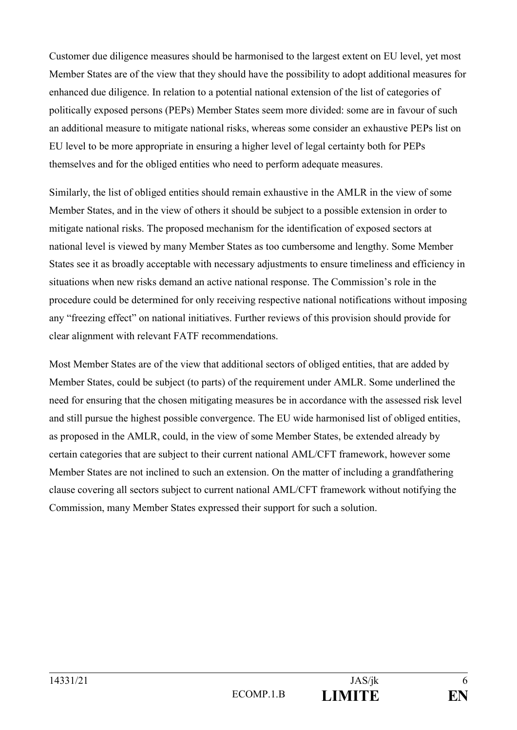Customer due diligence measures should be harmonised to the largest extent on EU level, yet most Member States are of the view that they should have the possibility to adopt additional measures for enhanced due diligence. In relation to a potential national extension of the list of categories of politically exposed persons (PEPs) Member States seem more divided: some are in favour of such an additional measure to mitigate national risks, whereas some consider an exhaustive PEPs list on EU level to be more appropriate in ensuring a higher level of legal certainty both for PEPs themselves and for the obliged entities who need to perform adequate measures.

Similarly, the list of obliged entities should remain exhaustive in the AMLR in the view of some Member States, and in the view of others it should be subject to a possible extension in order to mitigate national risks. The proposed mechanism for the identification of exposed sectors at national level is viewed by many Member States as too cumbersome and lengthy. Some Member States see it as broadly acceptable with necessary adjustments to ensure timeliness and efficiency in situations when new risks demand an active national response. The Commission's role in the procedure could be determined for only receiving respective national notifications without imposing any "freezing effect" on national initiatives. Further reviews of this provision should provide for clear alignment with relevant FATF recommendations.

Most Member States are of the view that additional sectors of obliged entities, that are added by Member States, could be subject (to parts) of the requirement under AMLR. Some underlined the need for ensuring that the chosen mitigating measures be in accordance with the assessed risk level and still pursue the highest possible convergence. The EU wide harmonised list of obliged entities, as proposed in the AMLR, could, in the view of some Member States, be extended already by certain categories that are subject to their current national AML/CFT framework, however some Member States are not inclined to such an extension. On the matter of including a grandfathering clause covering all sectors subject to current national AML/CFT framework without notifying the Commission, many Member States expressed their support for such a solution.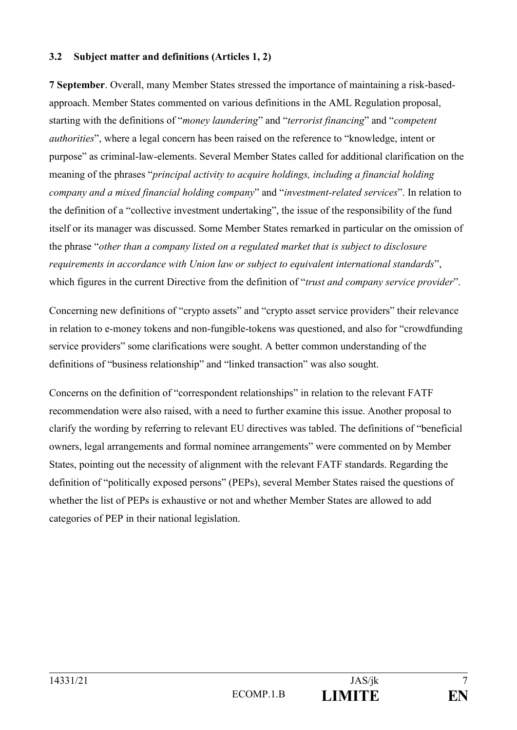### **3.2 Subject matter and definitions (Articles 1, 2)**

**7 September**. Overall, many Member States stressed the importance of maintaining a risk-basedapproach. Member States commented on various definitions in the AML Regulation proposal, starting with the definitions of "*money laundering*" and "*terrorist financing*" and "*competent authorities*", where a legal concern has been raised on the reference to "knowledge, intent or purpose" as criminal-law-elements. Several Member States called for additional clarification on the meaning of the phrases "*principal activity to acquire holdings, including a financial holding company and a mixed financial holding company*" and "*investment-related services*". In relation to the definition of a "collective investment undertaking", the issue of the responsibility of the fund itself or its manager was discussed. Some Member States remarked in particular on the omission of the phrase "*other than a company listed on a regulated market that is subject to disclosure requirements in accordance with Union law or subject to equivalent international standards*", which figures in the current Directive from the definition of "*trust and company service provider*".

Concerning new definitions of "crypto assets" and "crypto asset service providers" their relevance in relation to e-money tokens and non-fungible-tokens was questioned, and also for "crowdfunding service providers" some clarifications were sought. A better common understanding of the definitions of "business relationship" and "linked transaction" was also sought.

Concerns on the definition of "correspondent relationships" in relation to the relevant FATF recommendation were also raised, with a need to further examine this issue. Another proposal to clarify the wording by referring to relevant EU directives was tabled. The definitions of "beneficial owners, legal arrangements and formal nominee arrangements" were commented on by Member States, pointing out the necessity of alignment with the relevant FATF standards. Regarding the definition of "politically exposed persons" (PEPs), several Member States raised the questions of whether the list of PEPs is exhaustive or not and whether Member States are allowed to add categories of PEP in their national legislation.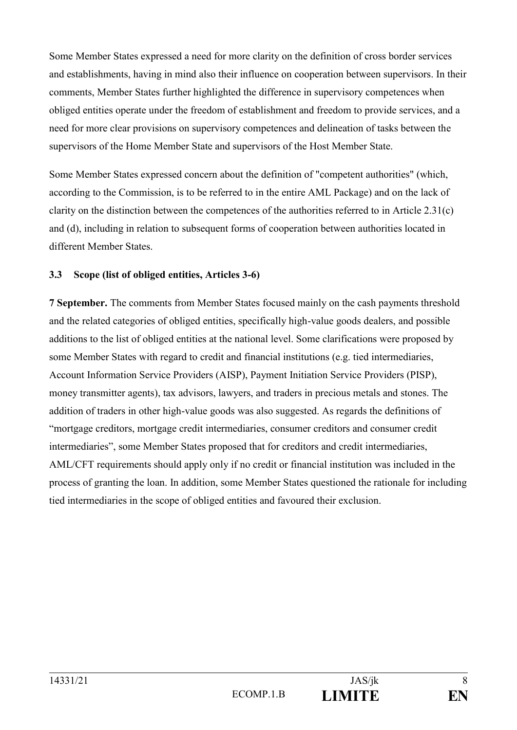Some Member States expressed a need for more clarity on the definition of cross border services and establishments, having in mind also their influence on cooperation between supervisors. In their comments, Member States further highlighted the difference in supervisory competences when obliged entities operate under the freedom of establishment and freedom to provide services, and a need for more clear provisions on supervisory competences and delineation of tasks between the supervisors of the Home Member State and supervisors of the Host Member State.

Some Member States expressed concern about the definition of "competent authorities" (which, according to the Commission, is to be referred to in the entire AML Package) and on the lack of clarity on the distinction between the competences of the authorities referred to in Article 2.31(c) and (d), including in relation to subsequent forms of cooperation between authorities located in different Member States.

## **3.3 Scope (list of obliged entities, Articles 3-6)**

**7 September.** The comments from Member States focused mainly on the cash payments threshold and the related categories of obliged entities, specifically high-value goods dealers, and possible additions to the list of obliged entities at the national level. Some clarifications were proposed by some Member States with regard to credit and financial institutions (e.g. tied intermediaries, Account Information Service Providers (AISP), Payment Initiation Service Providers (PISP), money transmitter agents), tax advisors, lawyers, and traders in precious metals and stones. The addition of traders in other high-value goods was also suggested. As regards the definitions of "mortgage creditors, mortgage credit intermediaries, consumer creditors and consumer credit intermediaries", some Member States proposed that for creditors and credit intermediaries, AML/CFT requirements should apply only if no credit or financial institution was included in the process of granting the loan. In addition, some Member States questioned the rationale for including tied intermediaries in the scope of obliged entities and favoured their exclusion.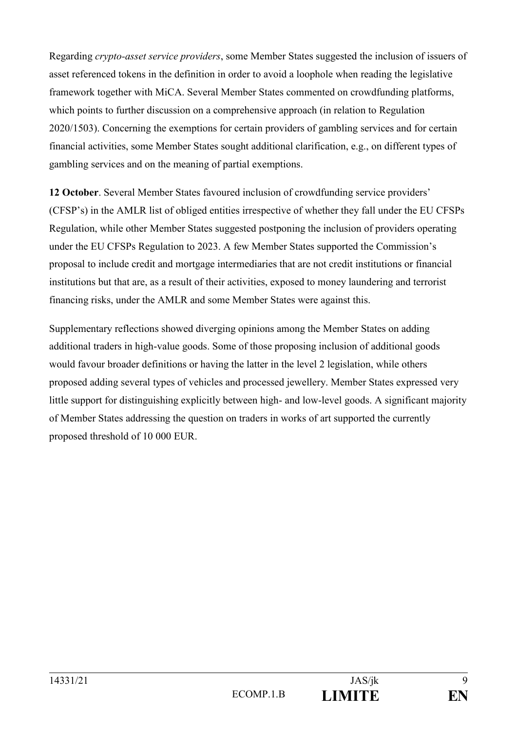Regarding *crypto-asset service providers*, some Member States suggested the inclusion of issuers of asset referenced tokens in the definition in order to avoid a loophole when reading the legislative framework together with MiCA. Several Member States commented on crowdfunding platforms, which points to further discussion on a comprehensive approach (in relation to Regulation 2020/1503). Concerning the exemptions for certain providers of gambling services and for certain financial activities, some Member States sought additional clarification, e.g., on different types of gambling services and on the meaning of partial exemptions.

**12 October**. Several Member States favoured inclusion of crowdfunding service providers' (CFSP's) in the AMLR list of obliged entities irrespective of whether they fall under the EU CFSPs Regulation, while other Member States suggested postponing the inclusion of providers operating under the EU CFSPs Regulation to 2023. A few Member States supported the Commission's proposal to include credit and mortgage intermediaries that are not credit institutions or financial institutions but that are, as a result of their activities, exposed to money laundering and terrorist financing risks, under the AMLR and some Member States were against this.

Supplementary reflections showed diverging opinions among the Member States on adding additional traders in high-value goods. Some of those proposing inclusion of additional goods would favour broader definitions or having the latter in the level 2 legislation, while others proposed adding several types of vehicles and processed jewellery. Member States expressed very little support for distinguishing explicitly between high- and low-level goods. A significant majority of Member States addressing the question on traders in works of art supported the currently proposed threshold of 10 000 EUR.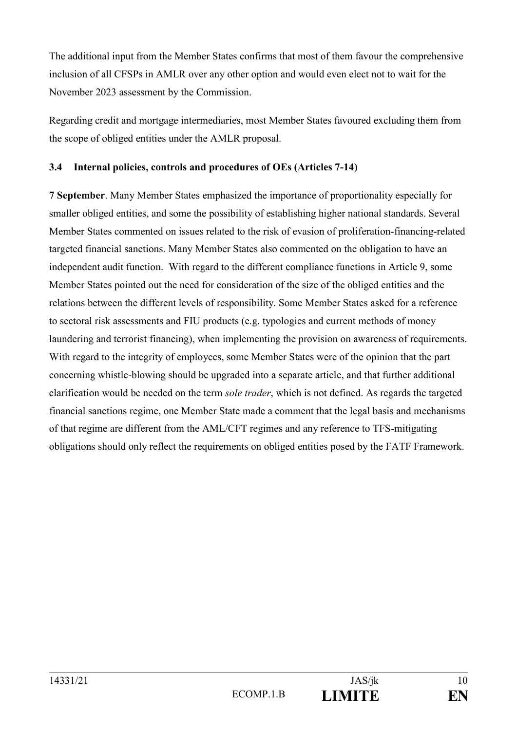The additional input from the Member States confirms that most of them favour the comprehensive inclusion of all CFSPs in AMLR over any other option and would even elect not to wait for the November 2023 assessment by the Commission.

Regarding credit and mortgage intermediaries, most Member States favoured excluding them from the scope of obliged entities under the AMLR proposal.

## **3.4 Internal policies, controls and procedures of OEs (Articles 7-14)**

**7 September**. Many Member States emphasized the importance of proportionality especially for smaller obliged entities, and some the possibility of establishing higher national standards. Several Member States commented on issues related to the risk of evasion of proliferation-financing-related targeted financial sanctions. Many Member States also commented on the obligation to have an independent audit function. With regard to the different compliance functions in Article 9, some Member States pointed out the need for consideration of the size of the obliged entities and the relations between the different levels of responsibility. Some Member States asked for a reference to sectoral risk assessments and FIU products (e.g. typologies and current methods of money laundering and terrorist financing), when implementing the provision on awareness of requirements. With regard to the integrity of employees, some Member States were of the opinion that the part concerning whistle-blowing should be upgraded into a separate article, and that further additional clarification would be needed on the term *sole trader*, which is not defined. As regards the targeted financial sanctions regime, one Member State made a comment that the legal basis and mechanisms of that regime are different from the AML/CFT regimes and any reference to TFS-mitigating obligations should only reflect the requirements on obliged entities posed by the FATF Framework.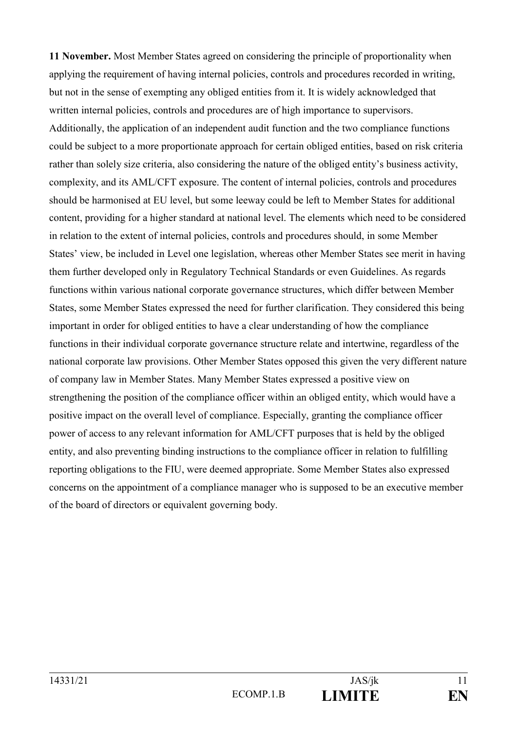**11 November.** Most Member States agreed on considering the principle of proportionality when applying the requirement of having internal policies, controls and procedures recorded in writing, but not in the sense of exempting any obliged entities from it. It is widely acknowledged that written internal policies, controls and procedures are of high importance to supervisors. Additionally, the application of an independent audit function and the two compliance functions could be subject to a more proportionate approach for certain obliged entities, based on risk criteria rather than solely size criteria, also considering the nature of the obliged entity's business activity, complexity, and its AML/CFT exposure. The content of internal policies, controls and procedures should be harmonised at EU level, but some leeway could be left to Member States for additional content, providing for a higher standard at national level. The elements which need to be considered in relation to the extent of internal policies, controls and procedures should, in some Member States' view, be included in Level one legislation, whereas other Member States see merit in having them further developed only in Regulatory Technical Standards or even Guidelines. As regards functions within various national corporate governance structures, which differ between Member States, some Member States expressed the need for further clarification. They considered this being important in order for obliged entities to have a clear understanding of how the compliance functions in their individual corporate governance structure relate and intertwine, regardless of the national corporate law provisions. Other Member States opposed this given the very different nature of company law in Member States. Many Member States expressed a positive view on strengthening the position of the compliance officer within an obliged entity, which would have a positive impact on the overall level of compliance. Especially, granting the compliance officer power of access to any relevant information for AML/CFT purposes that is held by the obliged entity, and also preventing binding instructions to the compliance officer in relation to fulfilling reporting obligations to the FIU, were deemed appropriate. Some Member States also expressed concerns on the appointment of a compliance manager who is supposed to be an executive member of the board of directors or equivalent governing body.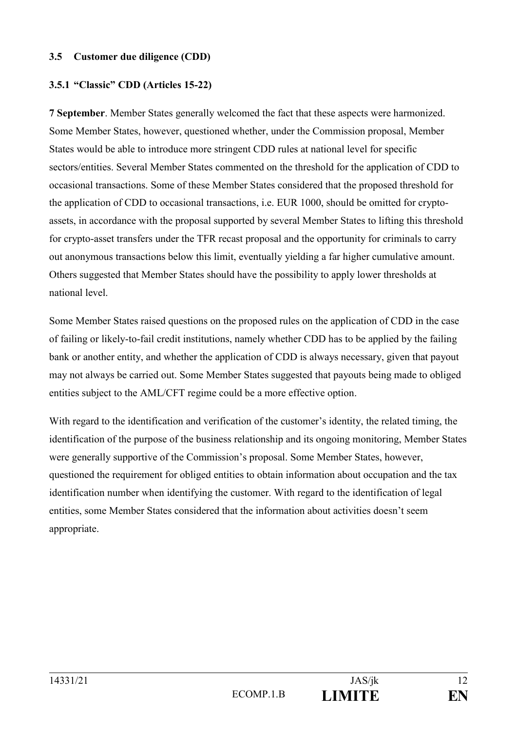#### **3.5 Customer due diligence (CDD)**

## **3.5.1 "Classic" CDD (Articles 15-22)**

**7 September**. Member States generally welcomed the fact that these aspects were harmonized. Some Member States, however, questioned whether, under the Commission proposal, Member States would be able to introduce more stringent CDD rules at national level for specific sectors/entities. Several Member States commented on the threshold for the application of CDD to occasional transactions. Some of these Member States considered that the proposed threshold for the application of CDD to occasional transactions, i.e. EUR 1000, should be omitted for cryptoassets, in accordance with the proposal supported by several Member States to lifting this threshold for crypto-asset transfers under the TFR recast proposal and the opportunity for criminals to carry out anonymous transactions below this limit, eventually yielding a far higher cumulative amount. Others suggested that Member States should have the possibility to apply lower thresholds at national level.

Some Member States raised questions on the proposed rules on the application of CDD in the case of failing or likely-to-fail credit institutions, namely whether CDD has to be applied by the failing bank or another entity, and whether the application of CDD is always necessary, given that payout may not always be carried out. Some Member States suggested that payouts being made to obliged entities subject to the AML/CFT regime could be a more effective option.

With regard to the identification and verification of the customer's identity, the related timing, the identification of the purpose of the business relationship and its ongoing monitoring, Member States were generally supportive of the Commission's proposal. Some Member States, however, questioned the requirement for obliged entities to obtain information about occupation and the tax identification number when identifying the customer. With regard to the identification of legal entities, some Member States considered that the information about activities doesn't seem appropriate.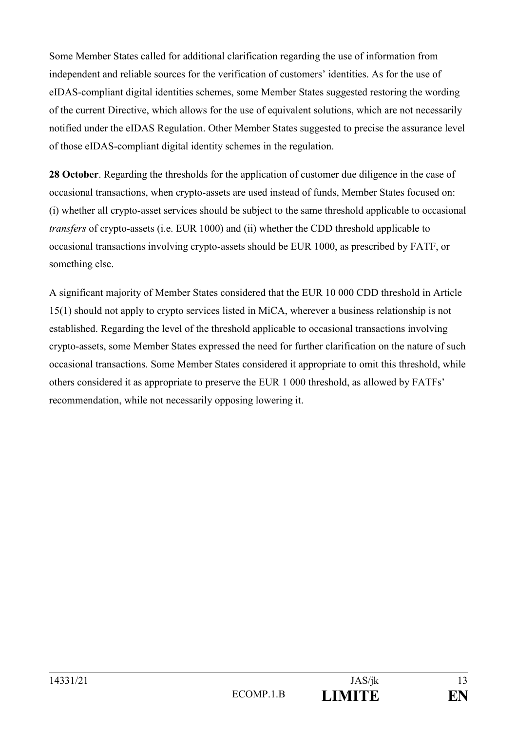Some Member States called for additional clarification regarding the use of information from independent and reliable sources for the verification of customers' identities. As for the use of eIDAS-compliant digital identities schemes, some Member States suggested restoring the wording of the current Directive, which allows for the use of equivalent solutions, which are not necessarily notified under the eIDAS Regulation. Other Member States suggested to precise the assurance level of those eIDAS-compliant digital identity schemes in the regulation.

**28 October**. Regarding the thresholds for the application of customer due diligence in the case of occasional transactions, when crypto-assets are used instead of funds, Member States focused on: (i) whether all crypto-asset services should be subject to the same threshold applicable to occasional *transfers* of crypto-assets (i.e. EUR 1000) and (ii) whether the CDD threshold applicable to occasional transactions involving crypto-assets should be EUR 1000, as prescribed by FATF, or something else.

A significant majority of Member States considered that the EUR 10 000 CDD threshold in Article 15(1) should not apply to crypto services listed in MiCA, wherever a business relationship is not established. Regarding the level of the threshold applicable to occasional transactions involving crypto-assets, some Member States expressed the need for further clarification on the nature of such occasional transactions. Some Member States considered it appropriate to omit this threshold, while others considered it as appropriate to preserve the EUR 1 000 threshold, as allowed by FATFs' recommendation, while not necessarily opposing lowering it.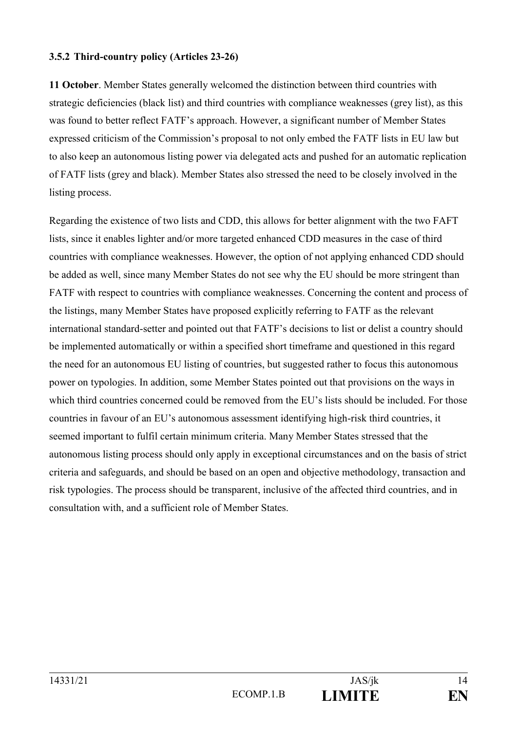## **3.5.2 Third-country policy (Articles 23-26)**

**11 October**. Member States generally welcomed the distinction between third countries with strategic deficiencies (black list) and third countries with compliance weaknesses (grey list), as this was found to better reflect FATF's approach. However, a significant number of Member States expressed criticism of the Commission's proposal to not only embed the FATF lists in EU law but to also keep an autonomous listing power via delegated acts and pushed for an automatic replication of FATF lists (grey and black). Member States also stressed the need to be closely involved in the listing process.

Regarding the existence of two lists and CDD, this allows for better alignment with the two FAFT lists, since it enables lighter and/or more targeted enhanced CDD measures in the case of third countries with compliance weaknesses. However, the option of not applying enhanced CDD should be added as well, since many Member States do not see why the EU should be more stringent than FATF with respect to countries with compliance weaknesses. Concerning the content and process of the listings, many Member States have proposed explicitly referring to FATF as the relevant international standard-setter and pointed out that FATF's decisions to list or delist a country should be implemented automatically or within a specified short timeframe and questioned in this regard the need for an autonomous EU listing of countries, but suggested rather to focus this autonomous power on typologies. In addition, some Member States pointed out that provisions on the ways in which third countries concerned could be removed from the EU's lists should be included. For those countries in favour of an EU's autonomous assessment identifying high-risk third countries, it seemed important to fulfil certain minimum criteria. Many Member States stressed that the autonomous listing process should only apply in exceptional circumstances and on the basis of strict criteria and safeguards, and should be based on an open and objective methodology, transaction and risk typologies. The process should be transparent, inclusive of the affected third countries, and in consultation with, and a sufficient role of Member States.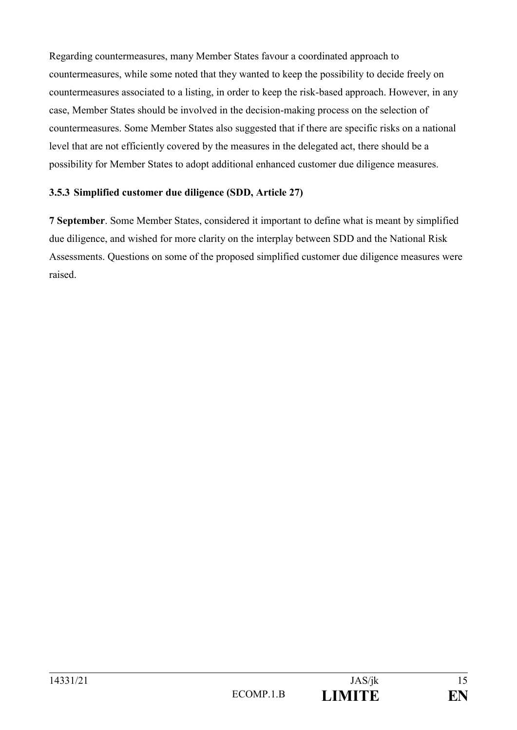Regarding countermeasures, many Member States favour a coordinated approach to countermeasures, while some noted that they wanted to keep the possibility to decide freely on countermeasures associated to a listing, in order to keep the risk-based approach. However, in any case, Member States should be involved in the decision-making process on the selection of countermeasures. Some Member States also suggested that if there are specific risks on a national level that are not efficiently covered by the measures in the delegated act, there should be a possibility for Member States to adopt additional enhanced customer due diligence measures.

# **3.5.3 Simplified customer due diligence (SDD, Article 27)**

**7 September**. Some Member States, considered it important to define what is meant by simplified due diligence, and wished for more clarity on the interplay between SDD and the National Risk Assessments. Questions on some of the proposed simplified customer due diligence measures were raised.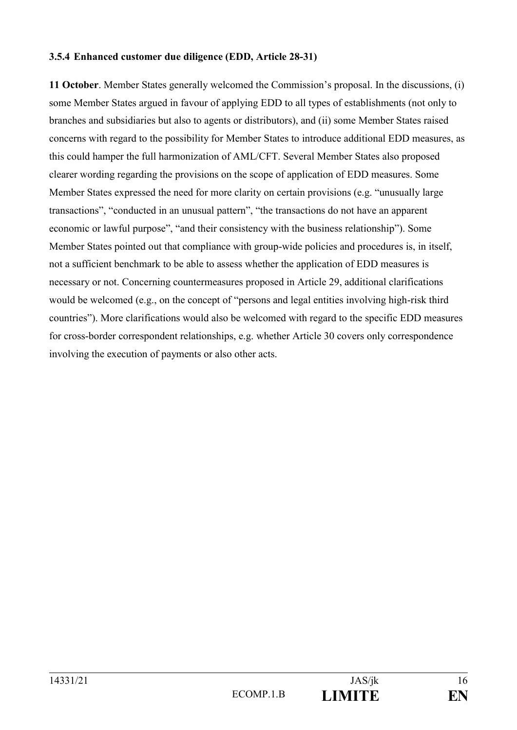### **3.5.4 Enhanced customer due diligence (EDD, Article 28-31)**

**11 October**. Member States generally welcomed the Commission's proposal. In the discussions, (i) some Member States argued in favour of applying EDD to all types of establishments (not only to branches and subsidiaries but also to agents or distributors), and (ii) some Member States raised concerns with regard to the possibility for Member States to introduce additional EDD measures, as this could hamper the full harmonization of AML/CFT. Several Member States also proposed clearer wording regarding the provisions on the scope of application of EDD measures. Some Member States expressed the need for more clarity on certain provisions (e.g. "unusually large transactions", "conducted in an unusual pattern", "the transactions do not have an apparent economic or lawful purpose", "and their consistency with the business relationship"). Some Member States pointed out that compliance with group-wide policies and procedures is, in itself, not a sufficient benchmark to be able to assess whether the application of EDD measures is necessary or not. Concerning countermeasures proposed in Article 29, additional clarifications would be welcomed (e.g., on the concept of "persons and legal entities involving high-risk third countries"). More clarifications would also be welcomed with regard to the specific EDD measures for cross-border correspondent relationships, e.g. whether Article 30 covers only correspondence involving the execution of payments or also other acts.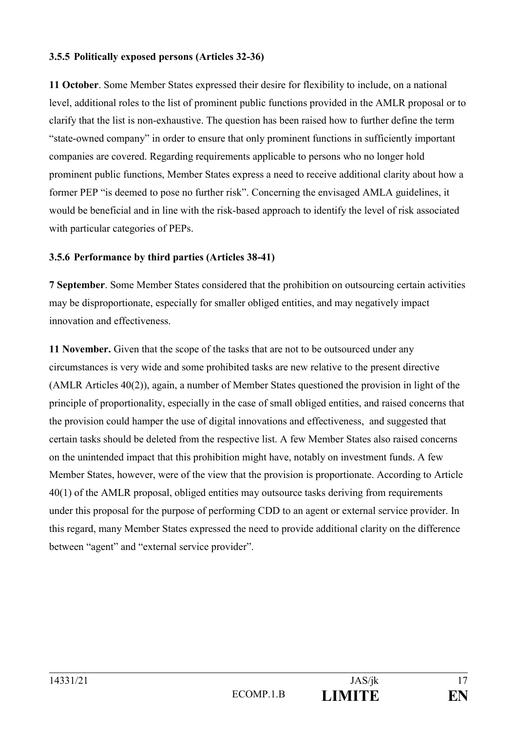### **3.5.5 Politically exposed persons (Articles 32-36)**

**11 October**. Some Member States expressed their desire for flexibility to include, on a national level, additional roles to the list of prominent public functions provided in the AMLR proposal or to clarify that the list is non-exhaustive. The question has been raised how to further define the term "state-owned company" in order to ensure that only prominent functions in sufficiently important companies are covered. Regarding requirements applicable to persons who no longer hold prominent public functions, Member States express a need to receive additional clarity about how a former PEP "is deemed to pose no further risk". Concerning the envisaged AMLA guidelines, it would be beneficial and in line with the risk-based approach to identify the level of risk associated with particular categories of PEPs.

### **3.5.6 Performance by third parties (Articles 38-41)**

**7 September**. Some Member States considered that the prohibition on outsourcing certain activities may be disproportionate, especially for smaller obliged entities, and may negatively impact innovation and effectiveness.

**11 November.** Given that the scope of the tasks that are not to be outsourced under any circumstances is very wide and some prohibited tasks are new relative to the present directive (AMLR Articles 40(2)), again, a number of Member States questioned the provision in light of the principle of proportionality, especially in the case of small obliged entities, and raised concerns that the provision could hamper the use of digital innovations and effectiveness, and suggested that certain tasks should be deleted from the respective list. A few Member States also raised concerns on the unintended impact that this prohibition might have, notably on investment funds. A few Member States, however, were of the view that the provision is proportionate. According to Article 40(1) of the AMLR proposal, obliged entities may outsource tasks deriving from requirements under this proposal for the purpose of performing CDD to an agent or external service provider. In this regard, many Member States expressed the need to provide additional clarity on the difference between "agent" and "external service provider".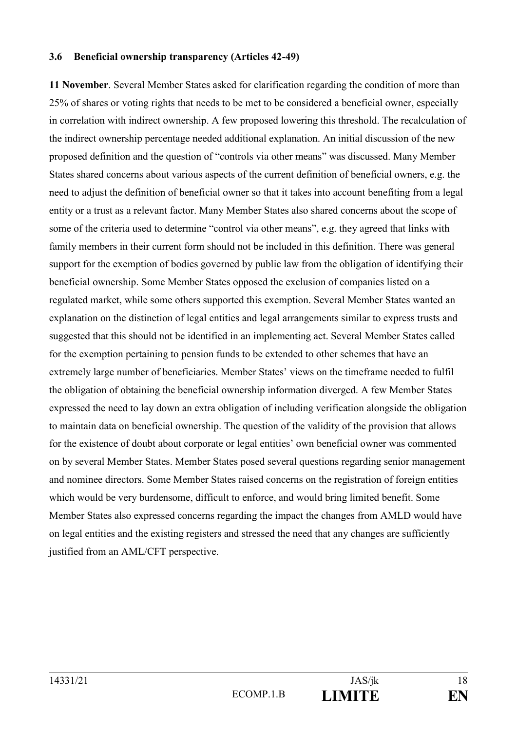#### **3.6 Beneficial ownership transparency (Articles 42-49)**

**11 November**. Several Member States asked for clarification regarding the condition of more than 25% of shares or voting rights that needs to be met to be considered a beneficial owner, especially in correlation with indirect ownership. A few proposed lowering this threshold. The recalculation of the indirect ownership percentage needed additional explanation. An initial discussion of the new proposed definition and the question of "controls via other means" was discussed. Many Member States shared concerns about various aspects of the current definition of beneficial owners, e.g. the need to adjust the definition of beneficial owner so that it takes into account benefiting from a legal entity or a trust as a relevant factor. Many Member States also shared concerns about the scope of some of the criteria used to determine "control via other means", e.g. they agreed that links with family members in their current form should not be included in this definition. There was general support for the exemption of bodies governed by public law from the obligation of identifying their beneficial ownership. Some Member States opposed the exclusion of companies listed on a regulated market, while some others supported this exemption. Several Member States wanted an explanation on the distinction of legal entities and legal arrangements similar to express trusts and suggested that this should not be identified in an implementing act. Several Member States called for the exemption pertaining to pension funds to be extended to other schemes that have an extremely large number of beneficiaries. Member States' views on the timeframe needed to fulfil the obligation of obtaining the beneficial ownership information diverged. A few Member States expressed the need to lay down an extra obligation of including verification alongside the obligation to maintain data on beneficial ownership. The question of the validity of the provision that allows for the existence of doubt about corporate or legal entities' own beneficial owner was commented on by several Member States. Member States posed several questions regarding senior management and nominee directors. Some Member States raised concerns on the registration of foreign entities which would be very burdensome, difficult to enforce, and would bring limited benefit. Some Member States also expressed concerns regarding the impact the changes from AMLD would have on legal entities and the existing registers and stressed the need that any changes are sufficiently justified from an AML/CFT perspective.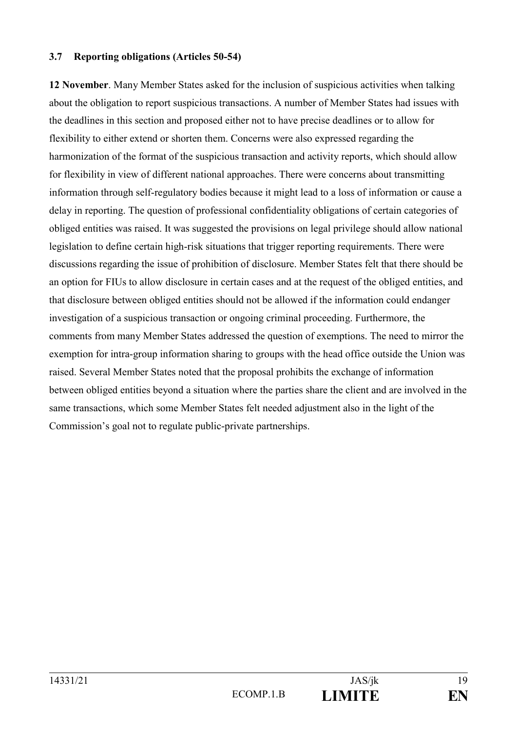#### **3.7 Reporting obligations (Articles 50-54)**

**12 November**. Many Member States asked for the inclusion of suspicious activities when talking about the obligation to report suspicious transactions. A number of Member States had issues with the deadlines in this section and proposed either not to have precise deadlines or to allow for flexibility to either extend or shorten them. Concerns were also expressed regarding the harmonization of the format of the suspicious transaction and activity reports, which should allow for flexibility in view of different national approaches. There were concerns about transmitting information through self-regulatory bodies because it might lead to a loss of information or cause a delay in reporting. The question of professional confidentiality obligations of certain categories of obliged entities was raised. It was suggested the provisions on legal privilege should allow national legislation to define certain high-risk situations that trigger reporting requirements. There were discussions regarding the issue of prohibition of disclosure. Member States felt that there should be an option for FIUs to allow disclosure in certain cases and at the request of the obliged entities, and that disclosure between obliged entities should not be allowed if the information could endanger investigation of a suspicious transaction or ongoing criminal proceeding. Furthermore, the comments from many Member States addressed the question of exemptions. The need to mirror the exemption for intra-group information sharing to groups with the head office outside the Union was raised. Several Member States noted that the proposal prohibits the exchange of information between obliged entities beyond a situation where the parties share the client and are involved in the same transactions, which some Member States felt needed adjustment also in the light of the Commission's goal not to regulate public-private partnerships.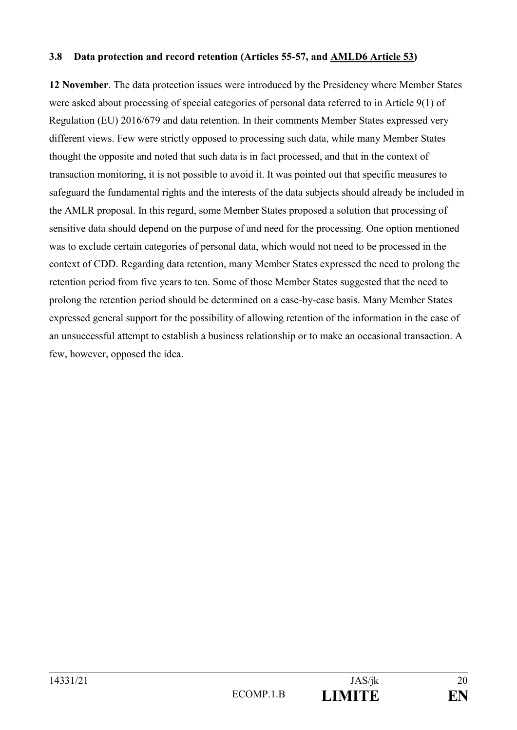### **3.8 Data protection and record retention (Articles 55-57, and AMLD6 Article 53)**

**12 November**. The data protection issues were introduced by the Presidency where Member States were asked about processing of special categories of personal data referred to in Article 9(1) of Regulation (EU) 2016/679 and data retention. In their comments Member States expressed very different views. Few were strictly opposed to processing such data, while many Member States thought the opposite and noted that such data is in fact processed, and that in the context of transaction monitoring, it is not possible to avoid it. It was pointed out that specific measures to safeguard the fundamental rights and the interests of the data subjects should already be included in the AMLR proposal. In this regard, some Member States proposed a solution that processing of sensitive data should depend on the purpose of and need for the processing. One option mentioned was to exclude certain categories of personal data, which would not need to be processed in the context of CDD. Regarding data retention, many Member States expressed the need to prolong the retention period from five years to ten. Some of those Member States suggested that the need to prolong the retention period should be determined on a case-by-case basis. Many Member States expressed general support for the possibility of allowing retention of the information in the case of an unsuccessful attempt to establish a business relationship or to make an occasional transaction. A few, however, opposed the idea.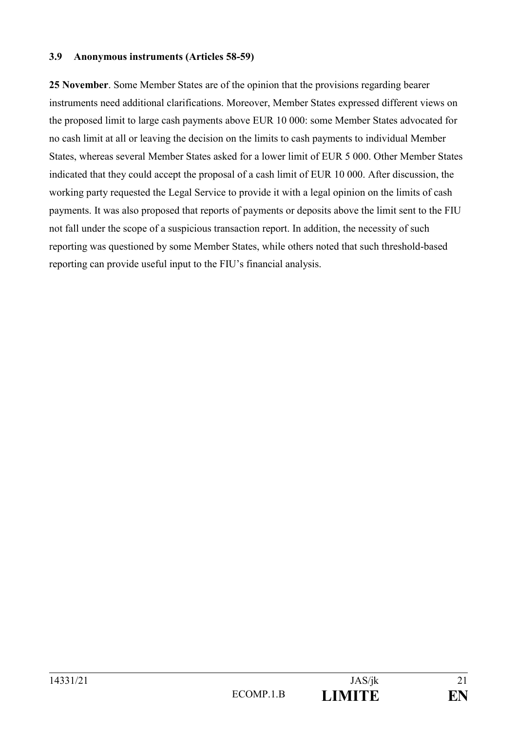#### **3.9 Anonymous instruments (Articles 58-59)**

**25 November**. Some Member States are of the opinion that the provisions regarding bearer instruments need additional clarifications. Moreover, Member States expressed different views on the proposed limit to large cash payments above EUR 10 000: some Member States advocated for no cash limit at all or leaving the decision on the limits to cash payments to individual Member States, whereas several Member States asked for a lower limit of EUR 5 000. Other Member States indicated that they could accept the proposal of a cash limit of EUR 10 000. After discussion, the working party requested the Legal Service to provide it with a legal opinion on the limits of cash payments. It was also proposed that reports of payments or deposits above the limit sent to the FIU not fall under the scope of a suspicious transaction report. In addition, the necessity of such reporting was questioned by some Member States, while others noted that such threshold-based reporting can provide useful input to the FIU's financial analysis.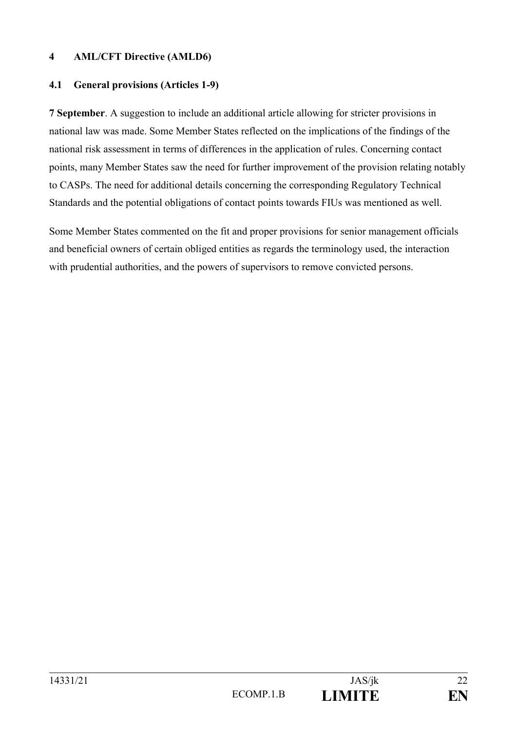### **4 AML/CFT Directive (AMLD6)**

### **4.1 General provisions (Articles 1-9)**

**7 September**. A suggestion to include an additional article allowing for stricter provisions in national law was made. Some Member States reflected on the implications of the findings of the national risk assessment in terms of differences in the application of rules. Concerning contact points, many Member States saw the need for further improvement of the provision relating notably to CASPs. The need for additional details concerning the corresponding Regulatory Technical Standards and the potential obligations of contact points towards FIUs was mentioned as well.

Some Member States commented on the fit and proper provisions for senior management officials and beneficial owners of certain obliged entities as regards the terminology used, the interaction with prudential authorities, and the powers of supervisors to remove convicted persons.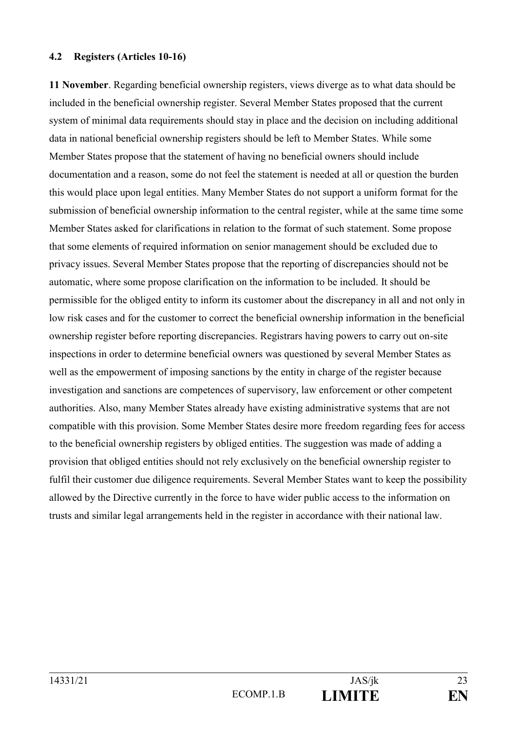#### **4.2 Registers (Articles 10-16)**

**11 November**. Regarding beneficial ownership registers, views diverge as to what data should be included in the beneficial ownership register. Several Member States proposed that the current system of minimal data requirements should stay in place and the decision on including additional data in national beneficial ownership registers should be left to Member States. While some Member States propose that the statement of having no beneficial owners should include documentation and a reason, some do not feel the statement is needed at all or question the burden this would place upon legal entities. Many Member States do not support a uniform format for the submission of beneficial ownership information to the central register, while at the same time some Member States asked for clarifications in relation to the format of such statement. Some propose that some elements of required information on senior management should be excluded due to privacy issues. Several Member States propose that the reporting of discrepancies should not be automatic, where some propose clarification on the information to be included. It should be permissible for the obliged entity to inform its customer about the discrepancy in all and not only in low risk cases and for the customer to correct the beneficial ownership information in the beneficial ownership register before reporting discrepancies. Registrars having powers to carry out on-site inspections in order to determine beneficial owners was questioned by several Member States as well as the empowerment of imposing sanctions by the entity in charge of the register because investigation and sanctions are competences of supervisory, law enforcement or other competent authorities. Also, many Member States already have existing administrative systems that are not compatible with this provision. Some Member States desire more freedom regarding fees for access to the beneficial ownership registers by obliged entities. The suggestion was made of adding a provision that obliged entities should not rely exclusively on the beneficial ownership register to fulfil their customer due diligence requirements. Several Member States want to keep the possibility allowed by the Directive currently in the force to have wider public access to the information on trusts and similar legal arrangements held in the register in accordance with their national law.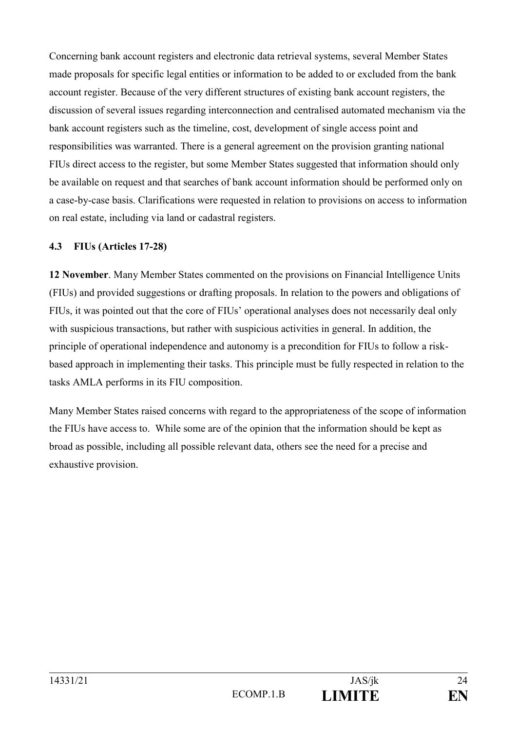Concerning bank account registers and electronic data retrieval systems, several Member States made proposals for specific legal entities or information to be added to or excluded from the bank account register. Because of the very different structures of existing bank account registers, the discussion of several issues regarding interconnection and centralised automated mechanism via the bank account registers such as the timeline, cost, development of single access point and responsibilities was warranted. There is a general agreement on the provision granting national FIUs direct access to the register, but some Member States suggested that information should only be available on request and that searches of bank account information should be performed only on a case-by-case basis. Clarifications were requested in relation to provisions on access to information on real estate, including via land or cadastral registers.

### **4.3 FIUs (Articles 17-28)**

**12 November**. Many Member States commented on the provisions on Financial Intelligence Units (FIUs) and provided suggestions or drafting proposals. In relation to the powers and obligations of FIUs, it was pointed out that the core of FIUs' operational analyses does not necessarily deal only with suspicious transactions, but rather with suspicious activities in general. In addition, the principle of operational independence and autonomy is a precondition for FIUs to follow a riskbased approach in implementing their tasks. This principle must be fully respected in relation to the tasks AMLA performs in its FIU composition.

Many Member States raised concerns with regard to the appropriateness of the scope of information the FIUs have access to. While some are of the opinion that the information should be kept as broad as possible, including all possible relevant data, others see the need for a precise and exhaustive provision.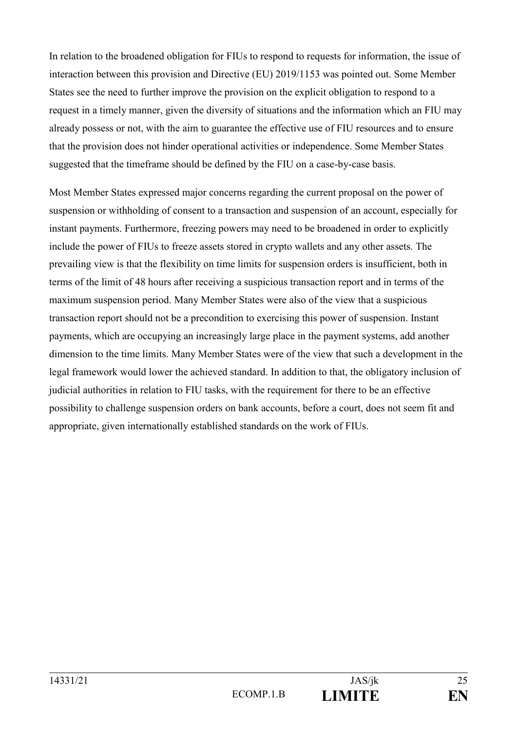In relation to the broadened obligation for FIUs to respond to requests for information, the issue of interaction between this provision and Directive (EU) 2019/1153 was pointed out. Some Member States see the need to further improve the provision on the explicit obligation to respond to a request in a timely manner, given the diversity of situations and the information which an FIU may already possess or not, with the aim to guarantee the effective use of FIU resources and to ensure that the provision does not hinder operational activities or independence. Some Member States suggested that the timeframe should be defined by the FIU on a case-by-case basis.

Most Member States expressed major concerns regarding the current proposal on the power of suspension or withholding of consent to a transaction and suspension of an account, especially for instant payments. Furthermore, freezing powers may need to be broadened in order to explicitly include the power of FIUs to freeze assets stored in crypto wallets and any other assets. The prevailing view is that the flexibility on time limits for suspension orders is insufficient, both in terms of the limit of 48 hours after receiving a suspicious transaction report and in terms of the maximum suspension period. Many Member States were also of the view that a suspicious transaction report should not be a precondition to exercising this power of suspension. Instant payments, which are occupying an increasingly large place in the payment systems, add another dimension to the time limits. Many Member States were of the view that such a development in the legal framework would lower the achieved standard. In addition to that, the obligatory inclusion of judicial authorities in relation to FIU tasks, with the requirement for there to be an effective possibility to challenge suspension orders on bank accounts, before a court, does not seem fit and appropriate, given internationally established standards on the work of FIUs.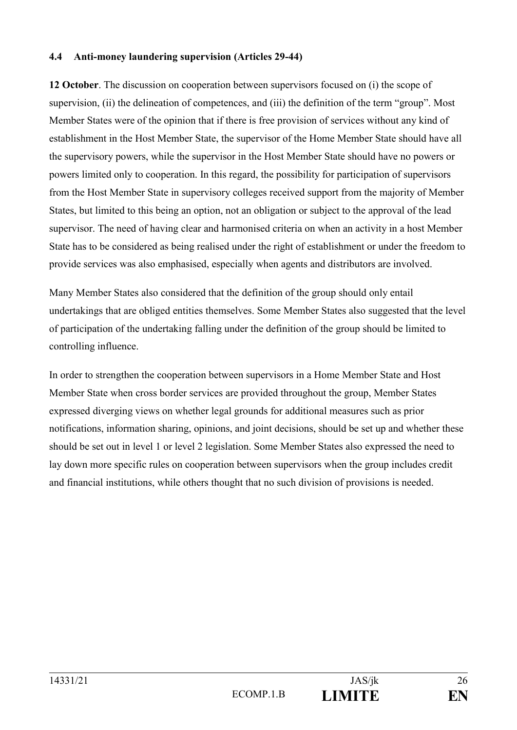#### **4.4 Anti-money laundering supervision (Articles 29-44)**

**12 October**. The discussion on cooperation between supervisors focused on (i) the scope of supervision, (ii) the delineation of competences, and (iii) the definition of the term "group". Most Member States were of the opinion that if there is free provision of services without any kind of establishment in the Host Member State, the supervisor of the Home Member State should have all the supervisory powers, while the supervisor in the Host Member State should have no powers or powers limited only to cooperation. In this regard, the possibility for participation of supervisors from the Host Member State in supervisory colleges received support from the majority of Member States, but limited to this being an option, not an obligation or subject to the approval of the lead supervisor. The need of having clear and harmonised criteria on when an activity in a host Member State has to be considered as being realised under the right of establishment or under the freedom to provide services was also emphasised, especially when agents and distributors are involved.

Many Member States also considered that the definition of the group should only entail undertakings that are obliged entities themselves. Some Member States also suggested that the level of participation of the undertaking falling under the definition of the group should be limited to controlling influence.

In order to strengthen the cooperation between supervisors in a Home Member State and Host Member State when cross border services are provided throughout the group, Member States expressed diverging views on whether legal grounds for additional measures such as prior notifications, information sharing, opinions, and joint decisions, should be set up and whether these should be set out in level 1 or level 2 legislation. Some Member States also expressed the need to lay down more specific rules on cooperation between supervisors when the group includes credit and financial institutions, while others thought that no such division of provisions is needed.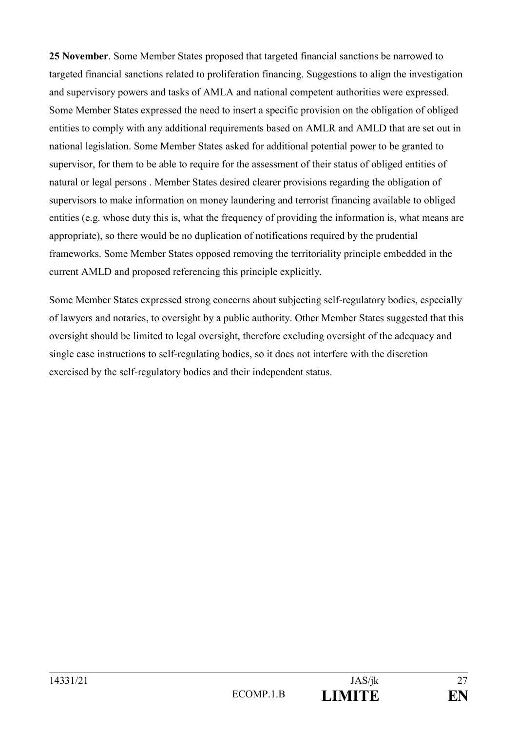**25 November**. Some Member States proposed that targeted financial sanctions be narrowed to targeted financial sanctions related to proliferation financing. Suggestions to align the investigation and supervisory powers and tasks of AMLA and national competent authorities were expressed. Some Member States expressed the need to insert a specific provision on the obligation of obliged entities to comply with any additional requirements based on AMLR and AMLD that are set out in national legislation. Some Member States asked for additional potential power to be granted to supervisor, for them to be able to require for the assessment of their status of obliged entities of natural or legal persons . Member States desired clearer provisions regarding the obligation of supervisors to make information on money laundering and terrorist financing available to obliged entities (e.g. whose duty this is, what the frequency of providing the information is, what means are appropriate), so there would be no duplication of notifications required by the prudential frameworks. Some Member States opposed removing the territoriality principle embedded in the current AMLD and proposed referencing this principle explicitly.

Some Member States expressed strong concerns about subjecting self-regulatory bodies, especially of lawyers and notaries, to oversight by a public authority. Other Member States suggested that this oversight should be limited to legal oversight, therefore excluding oversight of the adequacy and single case instructions to self-regulating bodies, so it does not interfere with the discretion exercised by the self-regulatory bodies and their independent status.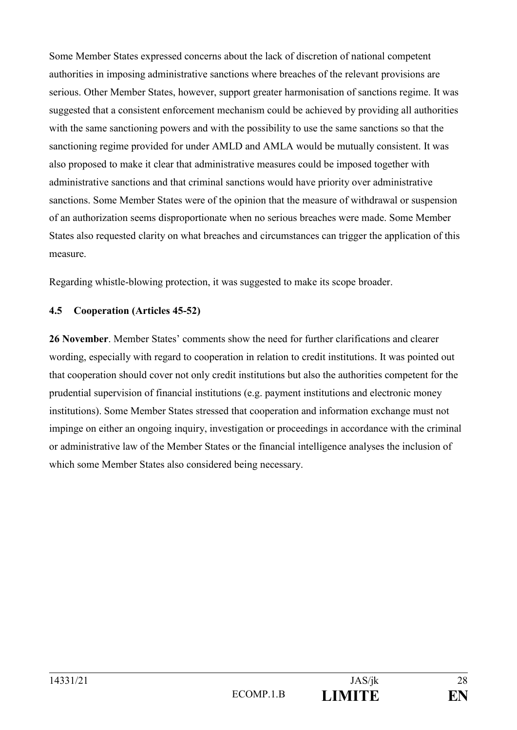Some Member States expressed concerns about the lack of discretion of national competent authorities in imposing administrative sanctions where breaches of the relevant provisions are serious. Other Member States, however, support greater harmonisation of sanctions regime. It was suggested that a consistent enforcement mechanism could be achieved by providing all authorities with the same sanctioning powers and with the possibility to use the same sanctions so that the sanctioning regime provided for under AMLD and AMLA would be mutually consistent. It was also proposed to make it clear that administrative measures could be imposed together with administrative sanctions and that criminal sanctions would have priority over administrative sanctions. Some Member States were of the opinion that the measure of withdrawal or suspension of an authorization seems disproportionate when no serious breaches were made. Some Member States also requested clarity on what breaches and circumstances can trigger the application of this measure.

Regarding whistle-blowing protection, it was suggested to make its scope broader.

### **4.5 Cooperation (Articles 45-52)**

**26 November**. Member States' comments show the need for further clarifications and clearer wording, especially with regard to cooperation in relation to credit institutions. It was pointed out that cooperation should cover not only credit institutions but also the authorities competent for the prudential supervision of financial institutions (e.g. payment institutions and electronic money institutions). Some Member States stressed that cooperation and information exchange must not impinge on either an ongoing inquiry, investigation or proceedings in accordance with the criminal or administrative law of the Member States or the financial intelligence analyses the inclusion of which some Member States also considered being necessary.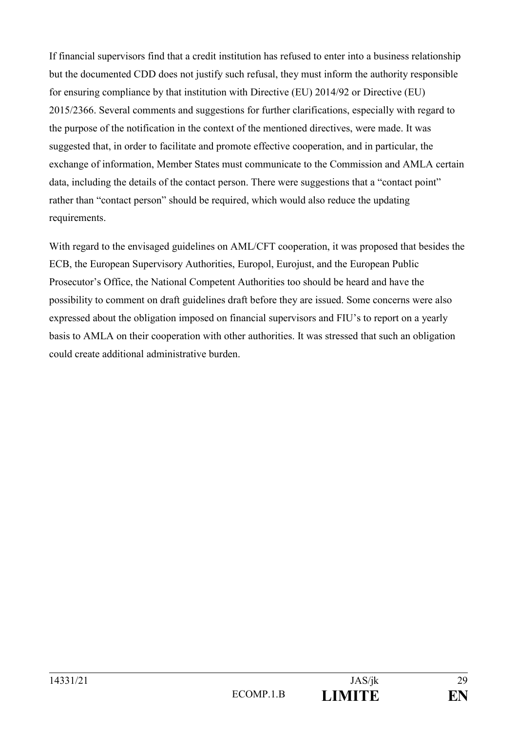If financial supervisors find that a credit institution has refused to enter into a business relationship but the documented CDD does not justify such refusal, they must inform the authority responsible for ensuring compliance by that institution with Directive (EU) 2014/92 or Directive (EU) 2015/2366. Several comments and suggestions for further clarifications, especially with regard to the purpose of the notification in the context of the mentioned directives, were made. It was suggested that, in order to facilitate and promote effective cooperation, and in particular, the exchange of information, Member States must communicate to the Commission and AMLA certain data, including the details of the contact person. There were suggestions that a "contact point" rather than "contact person" should be required, which would also reduce the updating requirements.

With regard to the envisaged guidelines on AML/CFT cooperation, it was proposed that besides the ECB, the European Supervisory Authorities, Europol, Eurojust, and the European Public Prosecutor's Office, the National Competent Authorities too should be heard and have the possibility to comment on draft guidelines draft before they are issued. Some concerns were also expressed about the obligation imposed on financial supervisors and FIU's to report on a yearly basis to AMLA on their cooperation with other authorities. It was stressed that such an obligation could create additional administrative burden.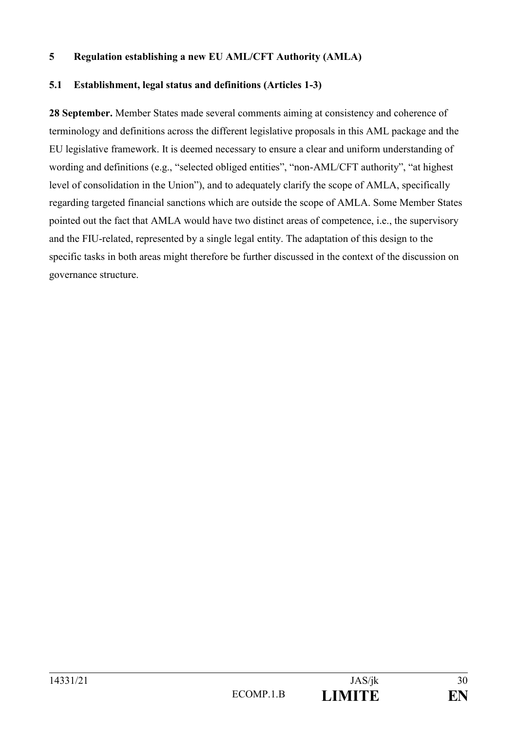### **5 Regulation establishing a new EU AML/CFT Authority (AMLA)**

### **5.1 Establishment, legal status and definitions (Articles 1-3)**

**28 September.** Member States made several comments aiming at consistency and coherence of terminology and definitions across the different legislative proposals in this AML package and the EU legislative framework. It is deemed necessary to ensure a clear and uniform understanding of wording and definitions (e.g., "selected obliged entities", "non-AML/CFT authority", "at highest level of consolidation in the Union"), and to adequately clarify the scope of AMLA, specifically regarding targeted financial sanctions which are outside the scope of AMLA. Some Member States pointed out the fact that AMLA would have two distinct areas of competence, i.e., the supervisory and the FIU-related, represented by a single legal entity. The adaptation of this design to the specific tasks in both areas might therefore be further discussed in the context of the discussion on governance structure.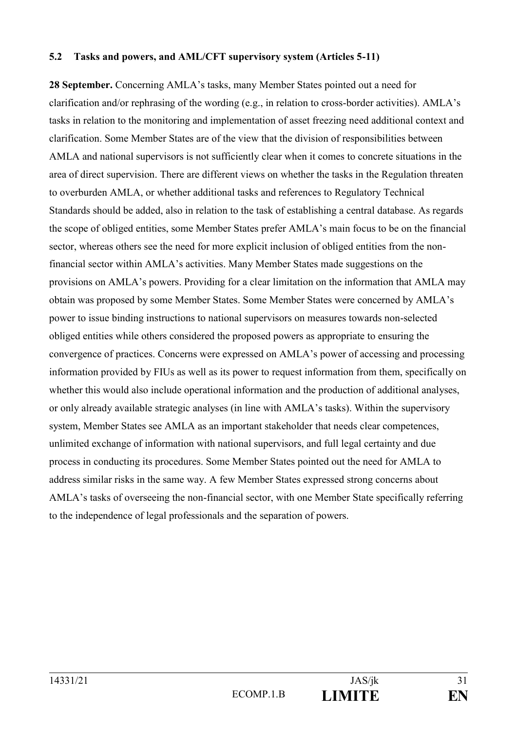#### **5.2 Tasks and powers, and AML/CFT supervisory system (Articles 5-11)**

**28 September.** Concerning AMLA's tasks, many Member States pointed out a need for clarification and/or rephrasing of the wording (e.g., in relation to cross-border activities). AMLA's tasks in relation to the monitoring and implementation of asset freezing need additional context and clarification. Some Member States are of the view that the division of responsibilities between AMLA and national supervisors is not sufficiently clear when it comes to concrete situations in the area of direct supervision. There are different views on whether the tasks in the Regulation threaten to overburden AMLA, or whether additional tasks and references to Regulatory Technical Standards should be added, also in relation to the task of establishing a central database. As regards the scope of obliged entities, some Member States prefer AMLA's main focus to be on the financial sector, whereas others see the need for more explicit inclusion of obliged entities from the nonfinancial sector within AMLA's activities. Many Member States made suggestions on the provisions on AMLA's powers. Providing for a clear limitation on the information that AMLA may obtain was proposed by some Member States. Some Member States were concerned by AMLA's power to issue binding instructions to national supervisors on measures towards non-selected obliged entities while others considered the proposed powers as appropriate to ensuring the convergence of practices. Concerns were expressed on AMLA's power of accessing and processing information provided by FIUs as well as its power to request information from them, specifically on whether this would also include operational information and the production of additional analyses, or only already available strategic analyses (in line with AMLA's tasks). Within the supervisory system, Member States see AMLA as an important stakeholder that needs clear competences, unlimited exchange of information with national supervisors, and full legal certainty and due process in conducting its procedures. Some Member States pointed out the need for AMLA to address similar risks in the same way. A few Member States expressed strong concerns about AMLA's tasks of overseeing the non-financial sector, with one Member State specifically referring to the independence of legal professionals and the separation of powers.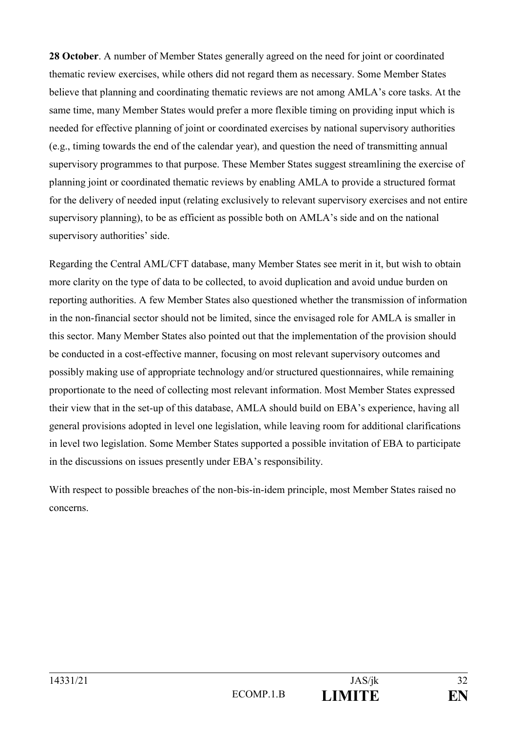**28 October**. A number of Member States generally agreed on the need for joint or coordinated thematic review exercises, while others did not regard them as necessary. Some Member States believe that planning and coordinating thematic reviews are not among AMLA's core tasks. At the same time, many Member States would prefer a more flexible timing on providing input which is needed for effective planning of joint or coordinated exercises by national supervisory authorities (e.g., timing towards the end of the calendar year), and question the need of transmitting annual supervisory programmes to that purpose. These Member States suggest streamlining the exercise of planning joint or coordinated thematic reviews by enabling AMLA to provide a structured format for the delivery of needed input (relating exclusively to relevant supervisory exercises and not entire supervisory planning), to be as efficient as possible both on AMLA's side and on the national supervisory authorities' side.

Regarding the Central AML/CFT database, many Member States see merit in it, but wish to obtain more clarity on the type of data to be collected, to avoid duplication and avoid undue burden on reporting authorities. A few Member States also questioned whether the transmission of information in the non-financial sector should not be limited, since the envisaged role for AMLA is smaller in this sector. Many Member States also pointed out that the implementation of the provision should be conducted in a cost-effective manner, focusing on most relevant supervisory outcomes and possibly making use of appropriate technology and/or structured questionnaires, while remaining proportionate to the need of collecting most relevant information. Most Member States expressed their view that in the set-up of this database, AMLA should build on EBA's experience, having all general provisions adopted in level one legislation, while leaving room for additional clarifications in level two legislation. Some Member States supported a possible invitation of EBA to participate in the discussions on issues presently under EBA's responsibility.

With respect to possible breaches of the non-bis-in-idem principle, most Member States raised no concerns.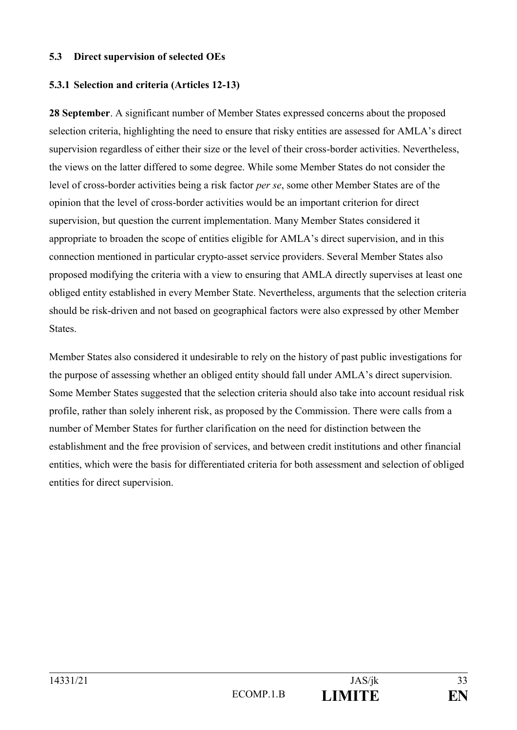#### **5.3 Direct supervision of selected OEs**

### **5.3.1 Selection and criteria (Articles 12-13)**

**28 September**. A significant number of Member States expressed concerns about the proposed selection criteria, highlighting the need to ensure that risky entities are assessed for AMLA's direct supervision regardless of either their size or the level of their cross-border activities. Nevertheless, the views on the latter differed to some degree. While some Member States do not consider the level of cross-border activities being a risk factor *per se*, some other Member States are of the opinion that the level of cross-border activities would be an important criterion for direct supervision, but question the current implementation. Many Member States considered it appropriate to broaden the scope of entities eligible for AMLA's direct supervision, and in this connection mentioned in particular crypto-asset service providers. Several Member States also proposed modifying the criteria with a view to ensuring that AMLA directly supervises at least one obliged entity established in every Member State. Nevertheless, arguments that the selection criteria should be risk-driven and not based on geographical factors were also expressed by other Member **States**.

Member States also considered it undesirable to rely on the history of past public investigations for the purpose of assessing whether an obliged entity should fall under AMLA's direct supervision. Some Member States suggested that the selection criteria should also take into account residual risk profile, rather than solely inherent risk, as proposed by the Commission. There were calls from a number of Member States for further clarification on the need for distinction between the establishment and the free provision of services, and between credit institutions and other financial entities, which were the basis for differentiated criteria for both assessment and selection of obliged entities for direct supervision.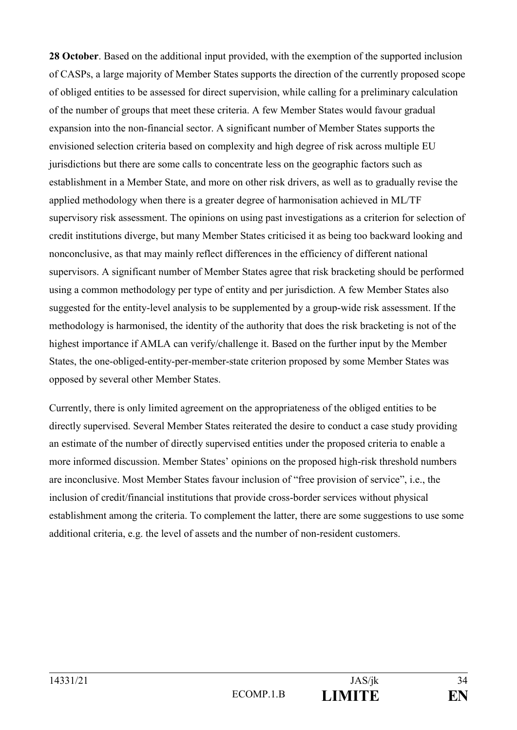**28 October**. Based on the additional input provided, with the exemption of the supported inclusion of CASPs, a large majority of Member States supports the direction of the currently proposed scope of obliged entities to be assessed for direct supervision, while calling for a preliminary calculation of the number of groups that meet these criteria. A few Member States would favour gradual expansion into the non-financial sector. A significant number of Member States supports the envisioned selection criteria based on complexity and high degree of risk across multiple EU jurisdictions but there are some calls to concentrate less on the geographic factors such as establishment in a Member State, and more on other risk drivers, as well as to gradually revise the applied methodology when there is a greater degree of harmonisation achieved in ML/TF supervisory risk assessment. The opinions on using past investigations as a criterion for selection of credit institutions diverge, but many Member States criticised it as being too backward looking and nonconclusive, as that may mainly reflect differences in the efficiency of different national supervisors. A significant number of Member States agree that risk bracketing should be performed using a common methodology per type of entity and per jurisdiction. A few Member States also suggested for the entity-level analysis to be supplemented by a group-wide risk assessment. If the methodology is harmonised, the identity of the authority that does the risk bracketing is not of the highest importance if AMLA can verify/challenge it. Based on the further input by the Member States, the one-obliged-entity-per-member-state criterion proposed by some Member States was opposed by several other Member States.

Currently, there is only limited agreement on the appropriateness of the obliged entities to be directly supervised. Several Member States reiterated the desire to conduct a case study providing an estimate of the number of directly supervised entities under the proposed criteria to enable a more informed discussion. Member States' opinions on the proposed high-risk threshold numbers are inconclusive. Most Member States favour inclusion of "free provision of service", i.e., the inclusion of credit/financial institutions that provide cross-border services without physical establishment among the criteria. To complement the latter, there are some suggestions to use some additional criteria, e.g. the level of assets and the number of non-resident customers.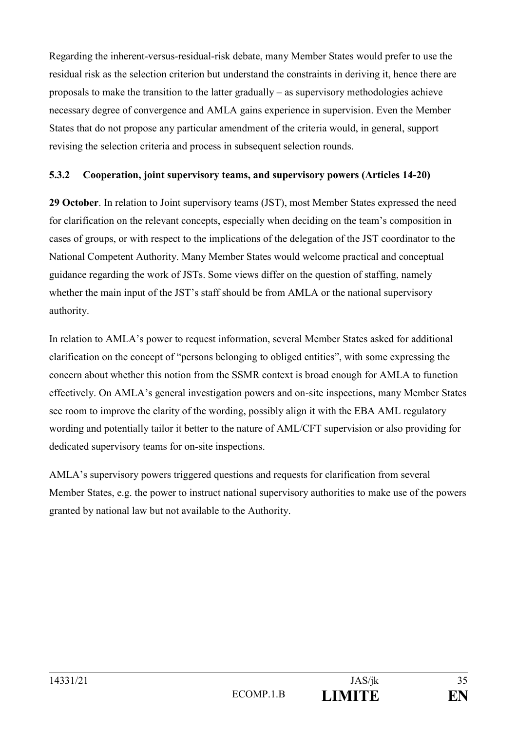Regarding the inherent-versus-residual-risk debate, many Member States would prefer to use the residual risk as the selection criterion but understand the constraints in deriving it, hence there are proposals to make the transition to the latter gradually – as supervisory methodologies achieve necessary degree of convergence and AMLA gains experience in supervision. Even the Member States that do not propose any particular amendment of the criteria would, in general, support revising the selection criteria and process in subsequent selection rounds.

## **5.3.2 Cooperation, joint supervisory teams, and supervisory powers (Articles 14-20)**

**29 October**. In relation to Joint supervisory teams (JST), most Member States expressed the need for clarification on the relevant concepts, especially when deciding on the team's composition in cases of groups, or with respect to the implications of the delegation of the JST coordinator to the National Competent Authority. Many Member States would welcome practical and conceptual guidance regarding the work of JSTs. Some views differ on the question of staffing, namely whether the main input of the JST's staff should be from AMLA or the national supervisory authority.

In relation to AMLA's power to request information, several Member States asked for additional clarification on the concept of "persons belonging to obliged entities", with some expressing the concern about whether this notion from the SSMR context is broad enough for AMLA to function effectively. On AMLA's general investigation powers and on-site inspections, many Member States see room to improve the clarity of the wording, possibly align it with the EBA AML regulatory wording and potentially tailor it better to the nature of AML/CFT supervision or also providing for dedicated supervisory teams for on-site inspections.

AMLA's supervisory powers triggered questions and requests for clarification from several Member States, e.g. the power to instruct national supervisory authorities to make use of the powers granted by national law but not available to the Authority.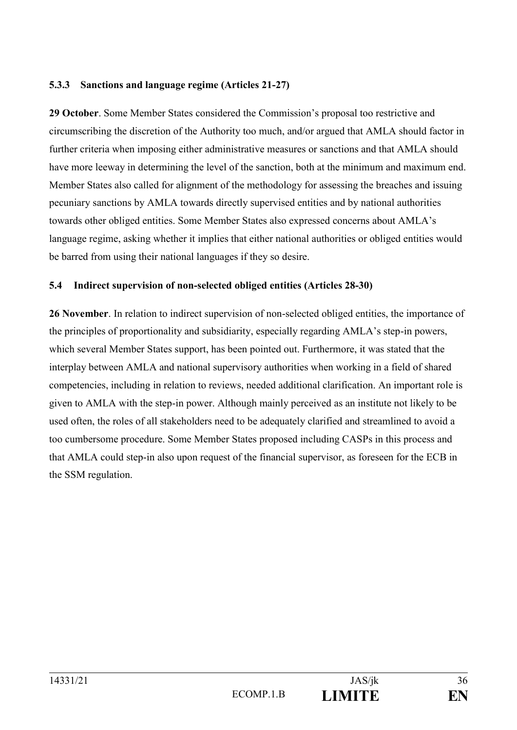### **5.3.3 Sanctions and language regime (Articles 21-27)**

**29 October**. Some Member States considered the Commission's proposal too restrictive and circumscribing the discretion of the Authority too much, and/or argued that AMLA should factor in further criteria when imposing either administrative measures or sanctions and that AMLA should have more leeway in determining the level of the sanction, both at the minimum and maximum end. Member States also called for alignment of the methodology for assessing the breaches and issuing pecuniary sanctions by AMLA towards directly supervised entities and by national authorities towards other obliged entities. Some Member States also expressed concerns about AMLA's language regime, asking whether it implies that either national authorities or obliged entities would be barred from using their national languages if they so desire.

### **5.4 Indirect supervision of non-selected obliged entities (Articles 28-30)**

**26 November**. In relation to indirect supervision of non-selected obliged entities, the importance of the principles of proportionality and subsidiarity, especially regarding AMLA's step-in powers, which several Member States support, has been pointed out. Furthermore, it was stated that the interplay between AMLA and national supervisory authorities when working in a field of shared competencies, including in relation to reviews, needed additional clarification. An important role is given to AMLA with the step-in power. Although mainly perceived as an institute not likely to be used often, the roles of all stakeholders need to be adequately clarified and streamlined to avoid a too cumbersome procedure. Some Member States proposed including CASPs in this process and that AMLA could step-in also upon request of the financial supervisor, as foreseen for the ECB in the SSM regulation.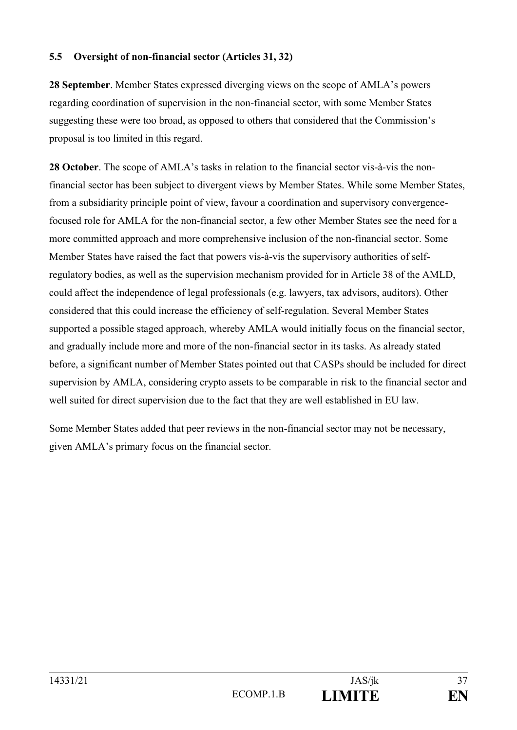### **5.5 Oversight of non-financial sector (Articles 31, 32)**

**28 September**. Member States expressed diverging views on the scope of AMLA's powers regarding coordination of supervision in the non-financial sector, with some Member States suggesting these were too broad, as opposed to others that considered that the Commission's proposal is too limited in this regard.

**28 October**. The scope of AMLA's tasks in relation to the financial sector vis-à-vis the nonfinancial sector has been subject to divergent views by Member States. While some Member States, from a subsidiarity principle point of view, favour a coordination and supervisory convergencefocused role for AMLA for the non-financial sector, a few other Member States see the need for a more committed approach and more comprehensive inclusion of the non-financial sector. Some Member States have raised the fact that powers vis-à-vis the supervisory authorities of selfregulatory bodies, as well as the supervision mechanism provided for in Article 38 of the AMLD, could affect the independence of legal professionals (e.g. lawyers, tax advisors, auditors). Other considered that this could increase the efficiency of self-regulation. Several Member States supported a possible staged approach, whereby AMLA would initially focus on the financial sector, and gradually include more and more of the non-financial sector in its tasks. As already stated before, a significant number of Member States pointed out that CASPs should be included for direct supervision by AMLA, considering crypto assets to be comparable in risk to the financial sector and well suited for direct supervision due to the fact that they are well established in EU law.

Some Member States added that peer reviews in the non-financial sector may not be necessary, given AMLA's primary focus on the financial sector.